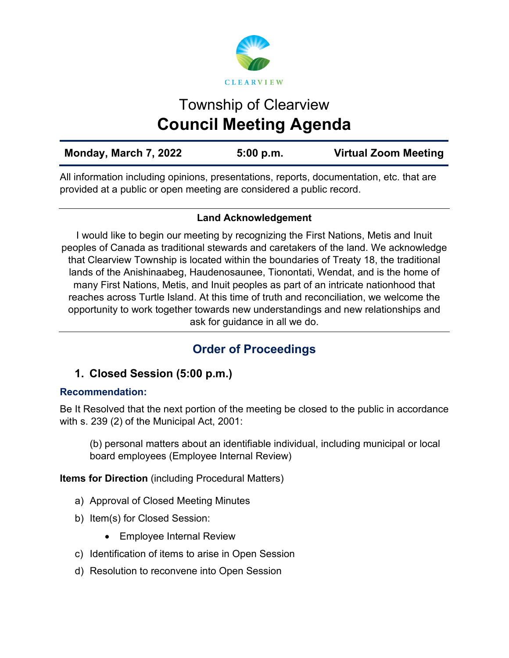

# Township of Clearview **Council Meeting Agenda**

| Monday, March 7, 2022 | 5:00 p.m. | <b>Virtual Zoom Meeting</b> |
|-----------------------|-----------|-----------------------------|
|                       |           |                             |

All information including opinions, presentations, reports, documentation, etc. that are provided at a public or open meeting are considered a public record.

# **Land Acknowledgement**

I would like to begin our meeting by recognizing the First Nations, Metis and Inuit peoples of Canada as traditional stewards and caretakers of the land. We acknowledge that Clearview Township is located within the boundaries of Treaty 18, the traditional lands of the Anishinaabeg, Haudenosaunee, Tionontati, Wendat, and is the home of many First Nations, Metis, and Inuit peoples as part of an intricate nationhood that reaches across Turtle Island. At this time of truth and reconciliation, we welcome the opportunity to work together towards new understandings and new relationships and ask for guidance in all we do.

# **Order of Proceedings**

# **1. Closed Session (5:00 p.m.)**

# **Recommendation:**

Be It Resolved that the next portion of the meeting be closed to the public in accordance with s. 239 (2) of the Municipal Act, 2001:

(b) personal matters about an identifiable individual, including municipal or local board employees (Employee Internal Review)

**Items for Direction** (including Procedural Matters)

- a) Approval of Closed Meeting Minutes
- b) Item(s) for Closed Session:
	- Employee Internal Review
- c) Identification of items to arise in Open Session
- d) Resolution to reconvene into Open Session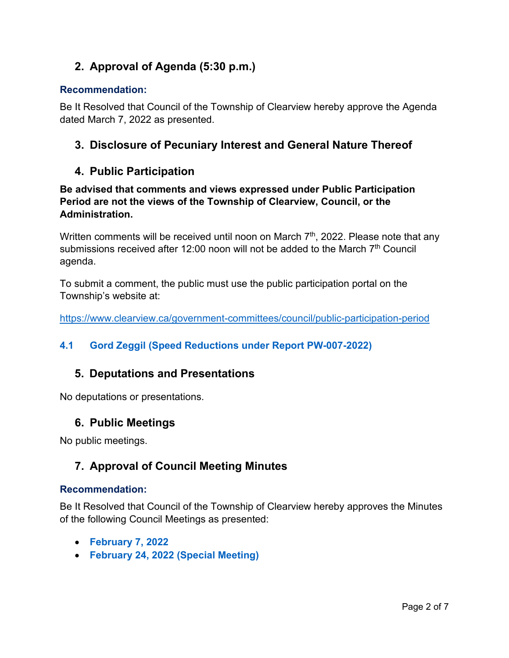# **2. Approval of Agenda (5:30 p.m.)**

#### **Recommendation:**

Be It Resolved that Council of the Township of Clearview hereby approve the Agenda dated March 7, 2022 as presented.

# **3. Disclosure of Pecuniary Interest and General Nature Thereof**

# **4. Public Participation**

**Be advised that comments and views expressed under Public Participation Period are not the views of the Township of Clearview, Council, or the Administration.** 

Written comments will be received until noon on March  $7<sup>th</sup>$ , 2022. Please note that any submissions received after 12:00 noon will not be added to the March  $7<sup>th</sup>$  Council agenda.

To submit a comment, the public must use the public participation portal on the Township's website at:

<https://www.clearview.ca/government-committees/council/public-participation-period>

# **4.1 [Gord Zeggil \(Speed Reductions under Report PW-007-2022\)](https://www.clearview.ca/sites/default/files/uploads/publications/4.1_gord_zeggil_speed_reductions_report_pw-007-2022.pdf)**

# **5. Deputations and Presentations**

No deputations or presentations.

# **6. Public Meetings**

No public meetings.

# **7. Approval of Council Meeting Minutes**

#### **Recommendation:**

Be It Resolved that Council of the Township of Clearview hereby approves the Minutes of the following Council Meetings as presented:

- **[February 7, 2022](https://www.clearview.ca/sites/default/files/uploads/publications/2022-02-07_council_meeting_minutes.pdf)**
- **[February 24, 2022 \(Special Meeting\)](https://www.clearview.ca/sites/default/files/uploads/publications/2022-02-24_special_council_meeting_minutes.pdf)**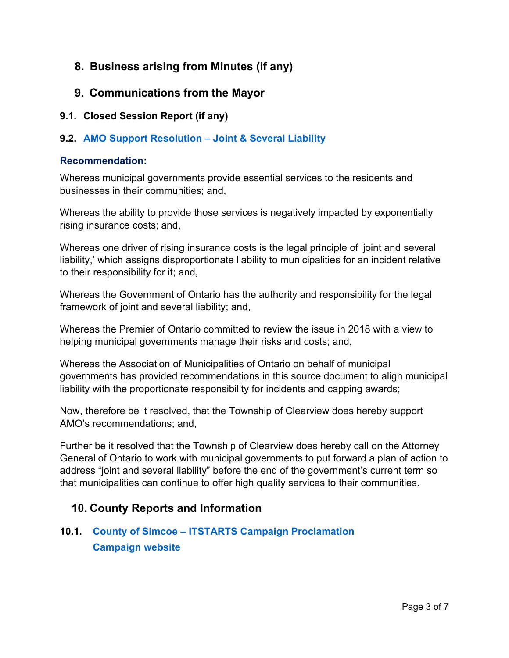# **8. Business arising from Minutes (if any)**

- **9. Communications from the Mayor**
- **9.1. Closed Session Report (if any)**

# **9.2. [AMO Support Resolution –](https://www.amo.on.ca/sites/default/files/assets/DOCUMENTS/Reports/2019/TowardsaReasonableBalanceAddressingGrowingMunicipalLiabilityandInsuranceCosts20191001.pdf?_zs=NQskN1&_zl=B1cA2) Joint & Several Liability**

#### **Recommendation:**

Whereas municipal governments provide essential services to the residents and businesses in their communities; and,

Whereas the ability to provide those services is negatively impacted by exponentially rising insurance costs; and,

Whereas one driver of rising insurance costs is the legal principle of 'joint and several liability,' which assigns disproportionate liability to municipalities for an incident relative to their responsibility for it; and,

Whereas the Government of Ontario has the authority and responsibility for the legal framework of joint and several liability; and,

Whereas the Premier of Ontario committed to review the issue in 2018 with a view to helping municipal governments manage their risks and costs; and,

Whereas the Association of Municipalities of Ontario on behalf of municipal governments has provided recommendations in this source document to align municipal liability with the proportionate responsibility for incidents and capping awards;

Now, therefore be it resolved, that the Township of Clearview does hereby support AMO's recommendations; and,

Further be it resolved that the Township of Clearview does hereby call on the Attorney General of Ontario to work with municipal governments to put forward a plan of action to address "joint and several liability" before the end of the government's current term so that municipalities can continue to offer high quality services to their communities.

# **10. County Reports and Information**

# **10.1. County of Simcoe – [ITSTARTS Campaign Proclamation](https://www.clearview.ca/sites/default/files/uploads/publications/10.1_itstarts_month_2022_proclamation.pdf) [Campaign website](https://www.simcoe.ca/ChildrenandCommunityServices/Pages/IT%20Starts/itstarts.aspx)**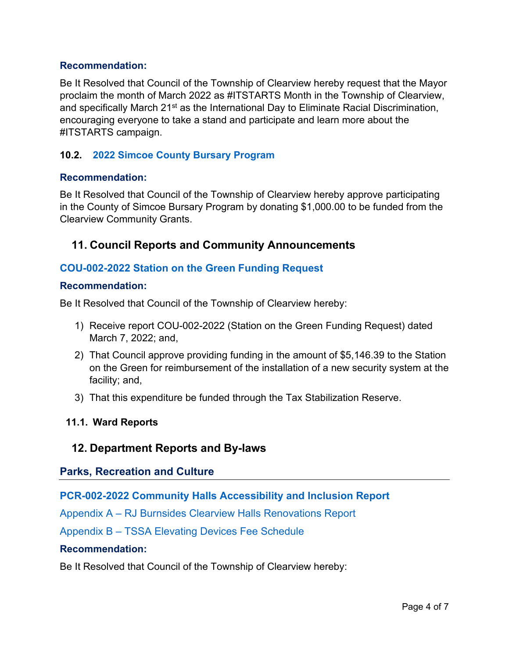#### **Recommendation:**

Be It Resolved that Council of the Township of Clearview hereby request that the Mayor proclaim the month of March 2022 as #ITSTARTS Month in the Township of Clearview, and specifically March 21<sup>st</sup> as the International Day to Eliminate Racial Discrimination, encouraging everyone to take a stand and participate and learn more about the #ITSTARTS campaign.

# **10.2. [2022 Simcoe County Bursary Program](https://www.simcoe.ca/studentbursary)**

#### **Recommendation:**

Be It Resolved that Council of the Township of Clearview hereby approve participating in the County of Simcoe Bursary Program by donating \$1,000.00 to be funded from the Clearview Community Grants.

# **11. Council Reports and Community Announcements**

# **[COU-002-2022 Station on the Green Funding Request](https://www.clearview.ca/sites/default/files/uploads/publications/cou-002-2022_station_on_the_green_funding_request.pdf)**

#### **Recommendation:**

Be It Resolved that Council of the Township of Clearview hereby:

- 1) Receive report COU-002-2022 (Station on the Green Funding Request) dated March 7, 2022; and,
- 2) That Council approve providing funding in the amount of \$5,146.39 to the Station on the Green for reimbursement of the installation of a new security system at the facility; and,
- 3) That this expenditure be funded through the Tax Stabilization Reserve.

#### **11.1. Ward Reports**

# **12. Department Reports and By-laws**

# **Parks, Recreation and Culture**

# **[PCR-002-2022 Community Halls Accessibility and Inclusion Report](https://www.clearview.ca/sites/default/files/uploads/publications/pcr-002-2022_community_halls_accessibility_and_inclusion_report_tv_rev2.pdf)**

[Appendix A – RJ Burnsides Clearview Halls Renovations Report](https://www.clearview.ca/sites/default/files/uploads/publications/appendix_a_-_rj_burnsides_small_halls_proposed_renovations_feb_252022.pdf)

[Appendix B – TSSA Elevating Devices Fee Schedule](https://www.clearview.ca/sites/default/files/uploads/publications/appendix_b_-_tssa_elevating-devices-fee-schedule_v1.1.pdf)

#### **Recommendation:**

Be It Resolved that Council of the Township of Clearview hereby: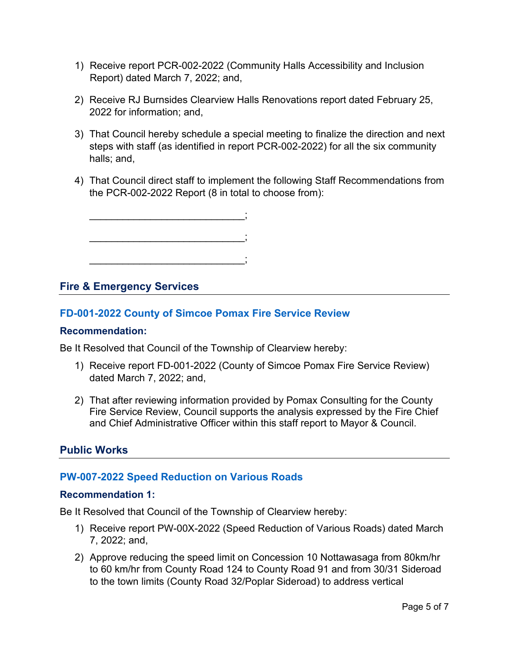- 1) Receive report PCR-002-2022 (Community Halls Accessibility and Inclusion Report) dated March 7, 2022; and,
- 2) Receive RJ Burnsides Clearview Halls Renovations report dated February 25, 2022 for information; and,
- 3) That Council hereby schedule a special meeting to finalize the direction and next steps with staff (as identified in report PCR-002-2022) for all the six community halls; and,
- 4) That Council direct staff to implement the following Staff Recommendations from the PCR-002-2022 Report (8 in total to choose from):

# **Fire & Emergency Services**

# **[FD-001-2022 County of Simcoe Pomax Fire Service Review](https://www.clearview.ca/sites/default/files/uploads/publications/fd-001-2022_county_of_simcoe_pomax_fire_service_review_0.pdf)**

#### **Recommendation:**

Be It Resolved that Council of the Township of Clearview hereby:

- 1) Receive report FD-001-2022 (County of Simcoe Pomax Fire Service Review) dated March 7, 2022; and,
- 2) That after reviewing information provided by Pomax Consulting for the County Fire Service Review, Council supports the analysis expressed by the Fire Chief and Chief Administrative Officer within this staff report to Mayor & Council.

# **Public Works**

# **[PW-007-2022 Speed Reduction on Various Roads](https://www.clearview.ca/sites/default/files/uploads/publications/pw-007-2022_speed_reduction_of_various_roads.pdf)**

#### **Recommendation 1:**

Be It Resolved that Council of the Township of Clearview hereby:

- 1) Receive report PW-00X-2022 (Speed Reduction of Various Roads) dated March 7, 2022; and,
- 2) Approve reducing the speed limit on Concession 10 Nottawasaga from 80km/hr to 60 km/hr from County Road 124 to County Road 91 and from 30/31 Sideroad to the town limits (County Road 32/Poplar Sideroad) to address vertical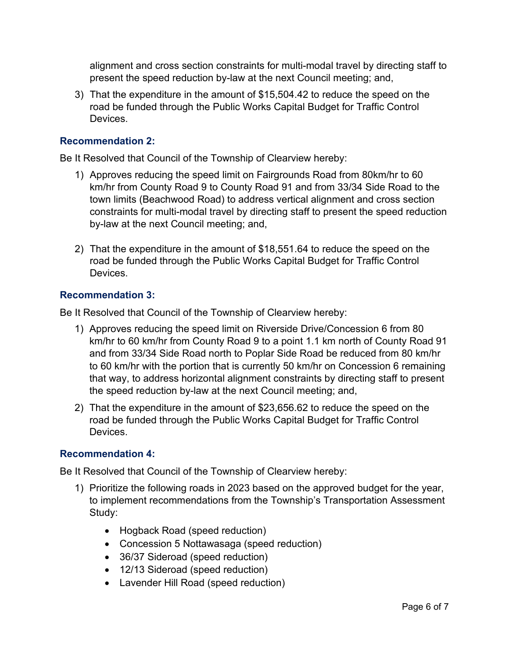alignment and cross section constraints for multi-modal travel by directing staff to present the speed reduction by-law at the next Council meeting; and,

3) That the expenditure in the amount of \$15,504.42 to reduce the speed on the road be funded through the Public Works Capital Budget for Traffic Control **Devices** 

#### **Recommendation 2:**

Be It Resolved that Council of the Township of Clearview hereby:

- 1) Approves reducing the speed limit on Fairgrounds Road from 80km/hr to 60 km/hr from County Road 9 to County Road 91 and from 33/34 Side Road to the town limits (Beachwood Road) to address vertical alignment and cross section constraints for multi-modal travel by directing staff to present the speed reduction by-law at the next Council meeting; and,
- 2) That the expenditure in the amount of \$18,551.64 to reduce the speed on the road be funded through the Public Works Capital Budget for Traffic Control Devices.

#### **Recommendation 3:**

Be It Resolved that Council of the Township of Clearview hereby:

- 1) Approves reducing the speed limit on Riverside Drive/Concession 6 from 80 km/hr to 60 km/hr from County Road 9 to a point 1.1 km north of County Road 91 and from 33/34 Side Road north to Poplar Side Road be reduced from 80 km/hr to 60 km/hr with the portion that is currently 50 km/hr on Concession 6 remaining that way, to address horizontal alignment constraints by directing staff to present the speed reduction by-law at the next Council meeting; and,
- 2) That the expenditure in the amount of \$23,656.62 to reduce the speed on the road be funded through the Public Works Capital Budget for Traffic Control Devices.

#### **Recommendation 4:**

Be It Resolved that Council of the Township of Clearview hereby:

- 1) Prioritize the following roads in 2023 based on the approved budget for the year, to implement recommendations from the Township's Transportation Assessment Study:
	- Hogback Road (speed reduction)
	- Concession 5 Nottawasaga (speed reduction)
	- 36/37 Sideroad (speed reduction)
	- 12/13 Sideroad (speed reduction)
	- Lavender Hill Road (speed reduction)